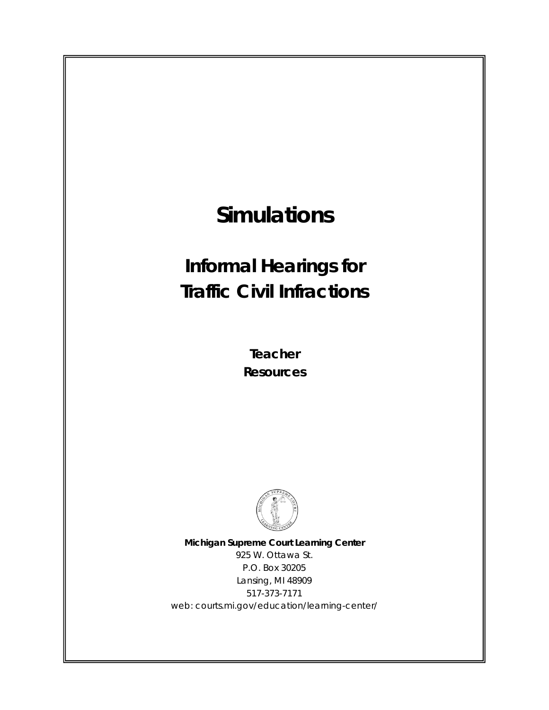# **Simulations**

# **Informal Hearings for Traffic Civil Infractions**

**Teacher Resources**



**Michigan Supreme Court Learning Center** 925 W. Ottawa St. P.O. Box 30205 Lansing, MI 48909 517-373-7171 web: courts.mi.gov/education/learning-center/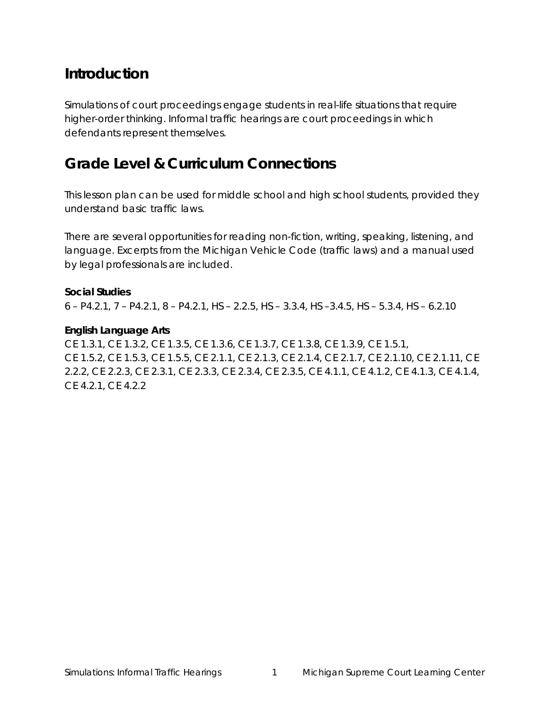# **Introduction**

Simulations of court proceedings engage students in real-life situations that require higher-order thinking. Informal traffic hearings are court proceedings in which defendants represent themselves.

# **Grade Level & Curriculum Connections**

This lesson plan can be used for middle school and high school students, provided they understand basic traffic laws.

There are several opportunities for reading non-fiction, writing, speaking, listening, and language. Excerpts from the Michigan Vehicle Code (traffic laws) and a manual used by legal professionals are included.

#### **Social Studies**

6 – P4.2.1, 7 – P4.2.1, 8 – P4.2.1, HS – 2.2.5, HS – 3.3.4, HS –3.4.5, HS – 5.3.4, HS – 6.2.10

#### **English Language Arts**

CE 1.3.1, CE 1.3.2, CE 1.3.5, CE 1.3.6, CE 1.3.7, CE 1.3.8, CE 1.3.9, CE 1.5.1, CE 1.5.2, CE 1.5.3, CE 1.5.5, CE 2.1.1, CE 2.1.3, CE 2.1.4, CE 2.1.7, CE 2.1.10, CE 2.1.11, CE 2.2.2, CE 2.2.3, CE 2.3.1, CE 2.3.3, CE 2.3.4, CE 2.3.5, CE 4.1.1, CE 4.1.2, CE 4.1.3, CE 4.1.4, CE 4.2.1, CE 4.2.2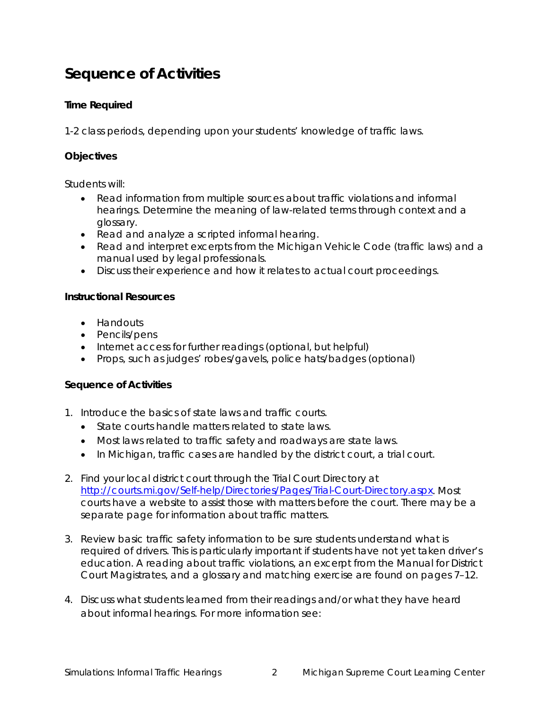# **Sequence of Activities**

### **Time Required**

1-2 class periods, depending upon your students' knowledge of traffic laws.

### **Objectives**

Students will:

- Read information from multiple sources about traffic violations and informal hearings. Determine the meaning of law-related terms through context and a glossary.
- Read and analyze a scripted informal hearing.
- Read and interpret excerpts from the Michigan Vehicle Code (traffic laws) and a manual used by legal professionals.
- Discuss their experience and how it relates to actual court proceedings.

#### **Instructional Resources**

- Handouts
- Pencils/pens
- Internet access for further readings (optional, but helpful)
- Props, such as judges' robes/gavels, police hats/badges (optional)

#### **Sequence of Activities**

- 1. Introduce the basics of state laws and traffic courts.
	- State courts handle matters related to state laws.
	- Most laws related to traffic safety and roadways are state laws.
	- In Michigan, traffic cases are handled by the district court, a trial court.
- 2. Find your local district court through the Trial Court Directory at [http://courts.mi.gov/Self-help/Directories/Pages/Trial-Court-Directory.aspx.](http://courts.mi.gov/Self-help/Directories/Pages/Trial-Court-Directory.aspx) Most courts have a website to assist those with matters before the court. There may be a separate page for information about traffic matters.
- 3. Review basic traffic safety information to be sure students understand what is required of drivers. This is particularly important if students have not yet taken driver's education. A reading about traffic violations, an excerpt from the *Manual for District Court Magistrates*, and a glossary and matching exercise are found on pages 7–12.
- 4. Discuss what students learned from their readings and/or what they have heard about informal hearings. For more information see: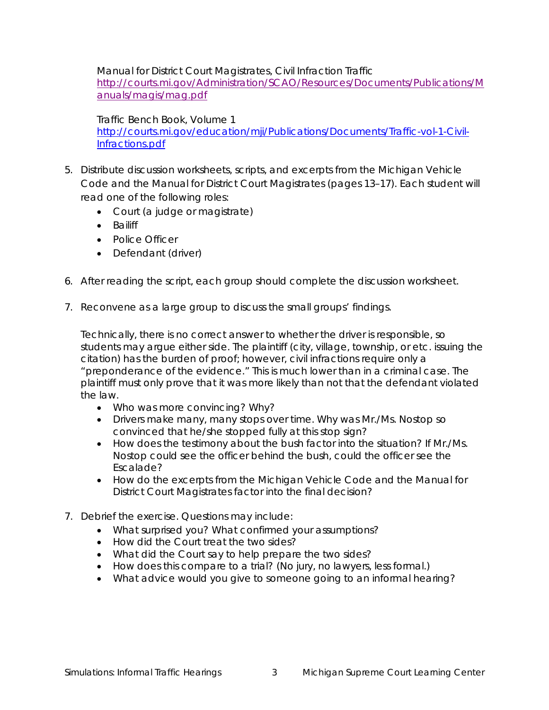*Manual for District Court Magistrates*, Civil Infraction Traffic [http://courts.mi.gov/Administration/SCAO/Resources/Documents/Publications/M](http://courts.mi.gov/Administration/SCAO/Resources/Documents/Publications/Manuals/magis/mag.pdf) [anuals/magis/mag.pdf](http://courts.mi.gov/Administration/SCAO/Resources/Documents/Publications/Manuals/magis/mag.pdf)

*Traffic Bench Book*, Volume 1 [http://courts.mi.gov/education/mji/Publications/Documents/Traffic-vol-1-Civil-](http://courts.mi.gov/education/mji/Publications/Documents/Traffic-vol-1-Civil-Infractions.pdf)[Infractions.pdf](http://courts.mi.gov/education/mji/Publications/Documents/Traffic-vol-1-Civil-Infractions.pdf)

- 5. Distribute discussion worksheets, scripts, and excerpts from the Michigan Vehicle Code and the *Manual for District Court Magistrates* (pages 13–17). Each student will read one of the following roles:
	- Court (a judge or magistrate)
	- Bailiff
	- Police Officer
	- Defendant (driver)
- 6. After reading the script, each group should complete the discussion worksheet.
- 7. Reconvene as a large group to discuss the small groups' findings.

Technically, there is no correct answer to whether the driver is responsible, so students may argue either side. The plaintiff (city, village, township, or etc. issuing the citation) has the burden of proof; however, civil infractions require only a "preponderance of the evidence." This is much lower than in a criminal case. The plaintiff must only prove that it was more likely than not that the defendant violated the law.

- Who was more convincing? Why?
- Drivers make many, many stops over time. Why was Mr./Ms. Nostop so convinced that he/she stopped fully at this stop sign?
- How does the testimony about the bush factor into the situation? If Mr./Ms. Nostop could see the officer behind the bush, could the officer see the Escalade?
- How do the excerpts from the Michigan Vehicle Code and the *Manual for District Court Magistrates* factor into the final decision?
- 7. Debrief the exercise. Questions may include:
	- What surprised you? What confirmed your assumptions?
	- How did the Court treat the two sides?
	- What did the Court say to help prepare the two sides?
	- How does this compare to a trial? (No jury, no lawyers, less formal.)
	- What advice would you give to someone going to an informal hearing?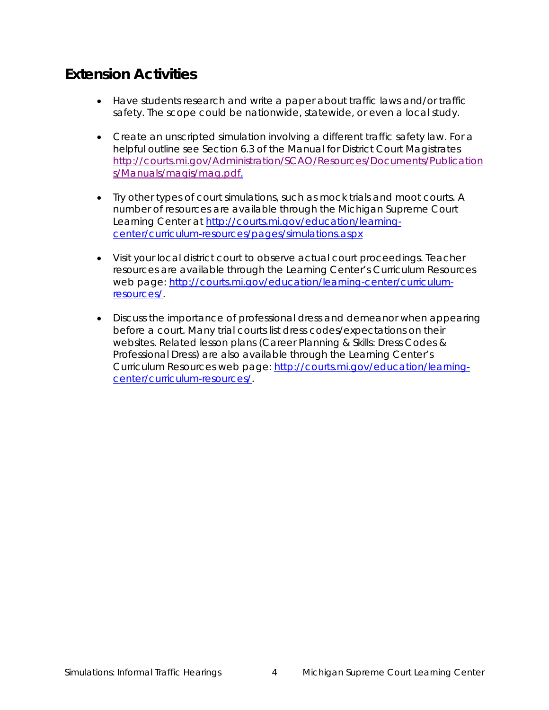# **Extension Activities**

- Have students research and write a paper about traffic laws and/or traffic safety. The scope could be nationwide, statewide, or even a local study.
- Create an unscripted simulation involving a different traffic safety law. For a helpful outline see Section 6.3 of the *Manual for District Court Magistrates* [http://courts.mi.gov/Administration/SCAO/Resources/Documents/Publication](http://courts.mi.gov/Administration/SCAO/Resources/Documents/Publications/Manuals/magis/mag.pdf) [s/Manuals/magis/mag.pdf.](http://courts.mi.gov/Administration/SCAO/Resources/Documents/Publications/Manuals/magis/mag.pdf)
- Try other types of court simulations, such as mock trials and moot courts. A number of resources are available through the Michigan Supreme Court Learning Center at [http://courts.mi.gov/education/learning](http://courts.mi.gov/education/learning-center/curriculum-resources/pages/simulations.aspx)[center/curriculum-resources/pages/simulations.aspx](http://courts.mi.gov/education/learning-center/curriculum-resources/pages/simulations.aspx)
- Visit your local district court to observe actual court proceedings. Teacher resources are available through the Learning Center's Curriculum Resources web page: [http://courts.mi.gov/education/learning-center/curriculum](http://courts.mi.gov/education/learning-center/curriculum-resources/)[resources/.](http://courts.mi.gov/education/learning-center/curriculum-resources/)
- Discuss the importance of professional dress and demeanor when appearing before a court. Many trial courts list dress codes/expectations on their websites. Related lesson plans (Career Planning & Skills: Dress Codes & Professional Dress) are also available through the Learning Center's Curriculum Resources web page: [http://courts.mi.gov/education/learning](http://courts.mi.gov/education/learning-center/curriculum-resources/)[center/curriculum-resources/.](http://courts.mi.gov/education/learning-center/curriculum-resources/)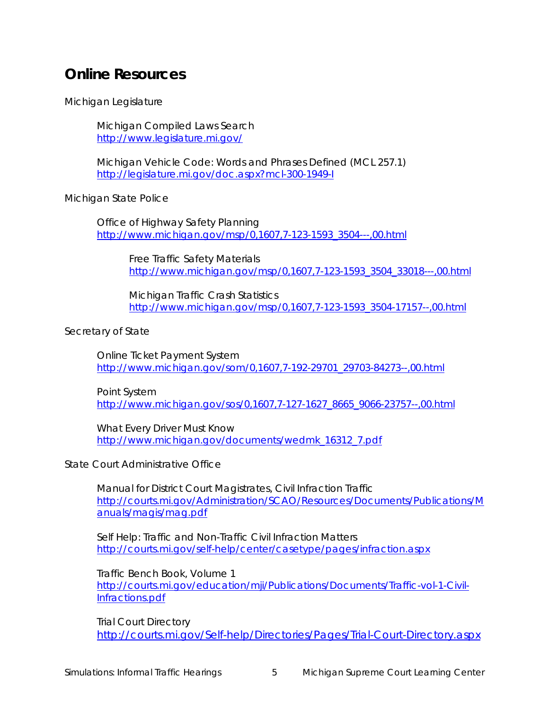# **Online Resources**

Michigan Legislature

Michigan Compiled Laws Search <http://www.legislature.mi.gov/>

Michigan Vehicle Code: Words and Phrases Defined (MCL 257.1) <http://legislature.mi.gov/doc.aspx?mcl-300-1949-I>

Michigan State Police

Office of Highway Safety Planning [http://www.michigan.gov/msp/0,1607,7-123-1593\\_3504---,00.html](http://www.michigan.gov/msp/0,1607,7-123-1593_3504---,00.html)

> Free Traffic Safety Materials [http://www.michigan.gov/msp/0,1607,7-123-1593\\_3504\\_33018---,00.html](http://www.michigan.gov/msp/0,1607,7-123-1593_3504_33018---,00.html)

Michigan Traffic Crash Statistics [http://www.michigan.gov/msp/0,1607,7-123-1593\\_3504-17157--,00.html](http://www.michigan.gov/msp/0,1607,7-123-1593_3504-17157--,00.html)

Secretary of State

Online Ticket Payment System [http://www.michigan.gov/som/0,1607,7-192-29701\\_29703-84273--,00.html](http://www.michigan.gov/som/0,1607,7-192-29701_29703-84273--,00.html)

Point System [http://www.michigan.gov/sos/0,1607,7-127-1627\\_8665\\_9066-23757--,00.html](http://www.michigan.gov/sos/0,1607,7-127-1627_8665_9066-23757--,00.html)

*What Every Driver Must Know* [http://www.michigan.gov/documents/wedmk\\_16312\\_7.pdf](http://www.michigan.gov/documents/wedmk_16312_7.pdf)

State Court Administrative Office

*Manual for District Court Magistrates*, Civil Infraction Traffic [http://courts.mi.gov/Administration/SCAO/Resources/Documents/Publications/M](http://courts.mi.gov/Administration/SCAO/Resources/Documents/Publications/Manuals/magis/mag.pdf) [anuals/magis/mag.pdf](http://courts.mi.gov/Administration/SCAO/Resources/Documents/Publications/Manuals/magis/mag.pdf)

Self Help: Traffic and Non-Traffic Civil Infraction Matters <http://courts.mi.gov/self-help/center/casetype/pages/infraction.aspx>

*Traffic Bench Book*, Volume 1 [http://courts.mi.gov/education/mji/Publications/Documents/Traffic-vol-1-Civil-](http://courts.mi.gov/education/mji/Publications/Documents/Traffic-vol-1-Civil-Infractions.pdf)[Infractions.pdf](http://courts.mi.gov/education/mji/Publications/Documents/Traffic-vol-1-Civil-Infractions.pdf)

Trial Court Directory <http://courts.mi.gov/Self-help/Directories/Pages/Trial-Court-Directory.aspx>

Simulations: Informal Traffic Hearings 5 Michigan Supreme Court Learning Center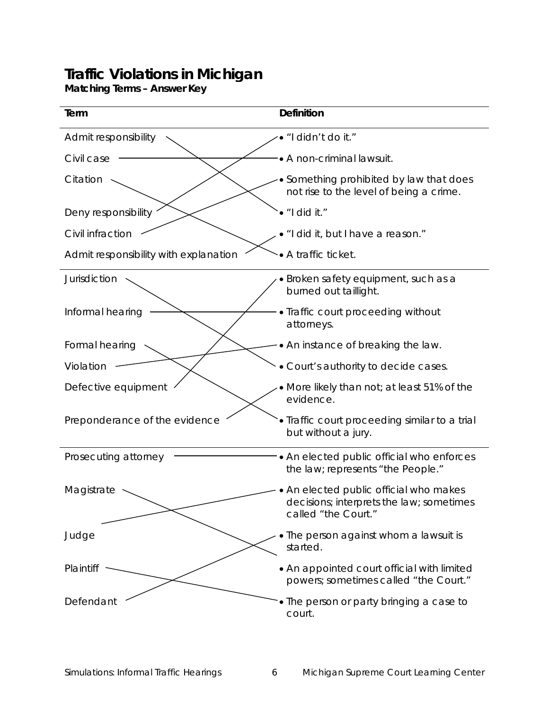**Matching Terms – Answer Key**

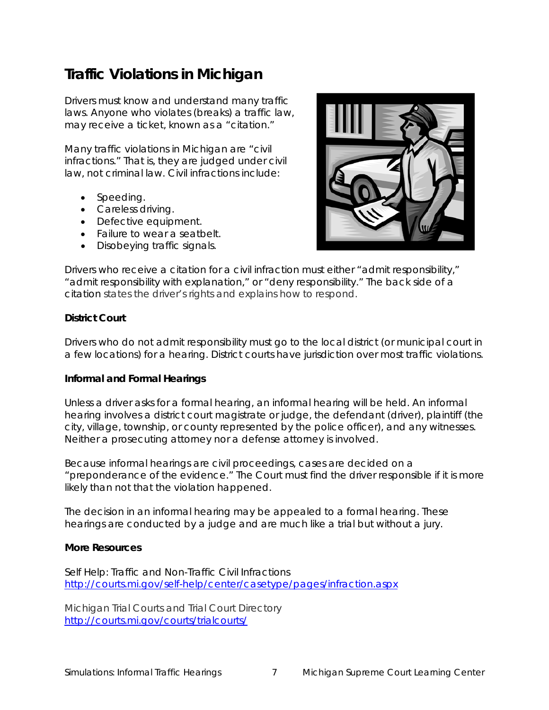Drivers must know and understand many traffic laws. Anyone who violates (breaks) a traffic law, may receive a ticket, known as a "citation."

Many traffic violations in Michigan are "civil infractions." That is, they are judged under civil law, not criminal law. Civil infractions include:

- Speeding.
- Careless driving.
- Defective equipment.
- Failure to wear a seatbelt.
- Disobeying traffic signals.



Drivers who receive a citation for a civil infraction must either "admit responsibility," "admit responsibility with explanation," or "deny responsibility." The back side of a citation states the driver's rights and explains how to respond.

#### **District Court**

Drivers who do not admit responsibility must go to the local district (or municipal court in a few locations) for a hearing. District courts have jurisdiction over most traffic violations.

#### **Informal and Formal Hearings**

Unless a driver asks for a formal hearing, an informal hearing will be held. An informal hearing involves a district court magistrate or judge, the defendant (driver), plaintiff (the city, village, township, or county represented by the police officer), and any witnesses. Neither a prosecuting attorney nor a defense attorney is involved.

Because informal hearings are civil proceedings, cases are decided on a "preponderance of the evidence." The Court must find the driver responsible if it is more likely than not that the violation happened.

The decision in an informal hearing may be appealed to a formal hearing. These hearings are conducted by a judge and are much like a trial but without a jury.

#### **More Resources**

Self Help: Traffic and Non-Traffic Civil Infractions <http://courts.mi.gov/self-help/center/casetype/pages/infraction.aspx>

Michigan Trial Courts and Trial Court Directory <http://courts.mi.gov/courts/trialcourts/>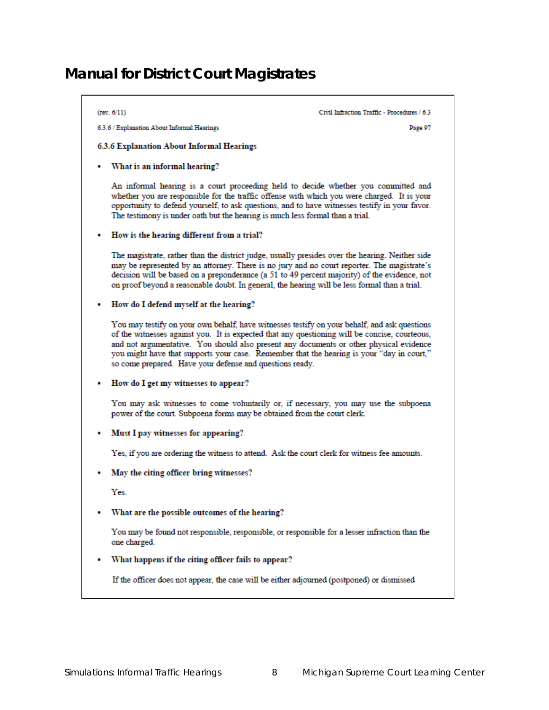# *Manual for District Court Magistrates*

### $(rev. 6/11)$ Civil Infraction Traffic - Procedures / 6.3 6.3.6 / Explanation About Informal Hearings Page 97 6.3.6 Explanation About Informal Hearings • What is an informal hearing? An informal hearing is a court proceeding held to decide whether you committed and whether you are responsible for the traffic offense with which you were charged. It is your opportunity to defend yourself, to ask questions, and to have witnesses testify in your favor. The testimony is under oath but the hearing is much less formal than a trial. • How is the hearing different from a trial? The magistrate, rather than the district judge, usually presides over the hearing. Neither side may be represented by an attorney. There is no jury and no court reporter. The magistrate's decision will be based on a preponderance (a 51 to 49 percent majority) of the evidence, not on proof beyond a reasonable doubt. In general, the hearing will be less formal than a trial. How do I defend myself at the hearing? You may testify on your own behalf, have witnesses testify on your behalf, and ask questions of the witnesses against you. It is expected that any questioning will be concise, courteous, and not argumentative. You should also present any documents or other physical evidence you might have that supports your case. Remember that the hearing is your "day in court," so come prepared. Have your defense and questions ready. How do I get my witnesses to appear? You may ask witnesses to come voluntarily or, if necessary, you may use the subpoena power of the court. Subpoena forms may be obtained from the court clerk. Must I pay witnesses for appearing? Yes, if you are ordering the witness to attend. Ask the court clerk for witness fee amounts. May the citing officer bring witnesses? Yes. What are the possible outcomes of the hearing? You may be found not responsible, responsible, or responsible for a lesser infraction than the one charged. What happens if the citing officer fails to appear? If the officer does not appear, the case will be either adjourned (postponed) or dismissed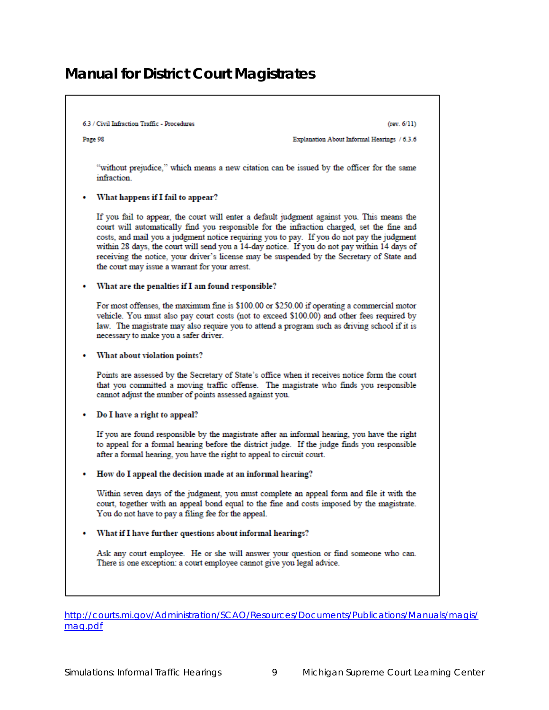## *Manual for District Court Magistrates*

#### 6.3 / Civil Infraction Traffic - Procedures

 $(rev. 6/11)$ 

Page 98

Explanation About Informal Hearings / 6.3.6

"without prejudice," which means a new citation can be issued by the officer for the same infraction.

#### What happens if I fail to appear?

If you fail to appear, the court will enter a default judgment against you. This means the court will automatically find you responsible for the infraction charged, set the fine and costs, and mail you a judgment notice requiring you to pay. If you do not pay the judgment within 28 days, the court will send you a 14-day notice. If you do not pay within 14 days of receiving the notice, your driver's license may be suspended by the Secretary of State and the court may issue a warrant for your arrest.

#### What are the penalties if I am found responsible?

For most offenses, the maximum fine is \$100.00 or \$250.00 if operating a commercial motor vehicle. You must also pay court costs (not to exceed \$100.00) and other fees required by law. The magistrate may also require you to attend a program such as driving school if it is necessary to make you a safer driver.

#### • What about violation points?

Points are assessed by the Secretary of State's office when it receives notice form the court that you committed a moving traffic offense. The magistrate who finds you responsible cannot adjust the number of points assessed against you.

#### • Do I have a right to appeal?

If you are found responsible by the magistrate after an informal hearing, you have the right to appeal for a formal hearing before the district judge. If the judge finds you responsible after a formal hearing, you have the right to appeal to circuit court.

#### • How do I appeal the decision made at an informal hearing?

Within seven days of the judgment, you must complete an appeal form and file it with the court, together with an appeal bond equal to the fine and costs imposed by the magistrate. You do not have to pay a filing fee for the appeal.

#### • What if I have further questions about informal hearings?

Ask any court employee. He or she will answer your question or find someone who can. There is one exception: a court employee cannot give you legal advice.

[http://courts.mi.gov/Administration/SCAO/Resources/Documents/Publications/Manuals/magis/](http://courts.mi.gov/Administration/SCAO/Resources/Documents/Publications/Manuals/magis/mag.pdf) [mag.pdf](http://courts.mi.gov/Administration/SCAO/Resources/Documents/Publications/Manuals/magis/mag.pdf)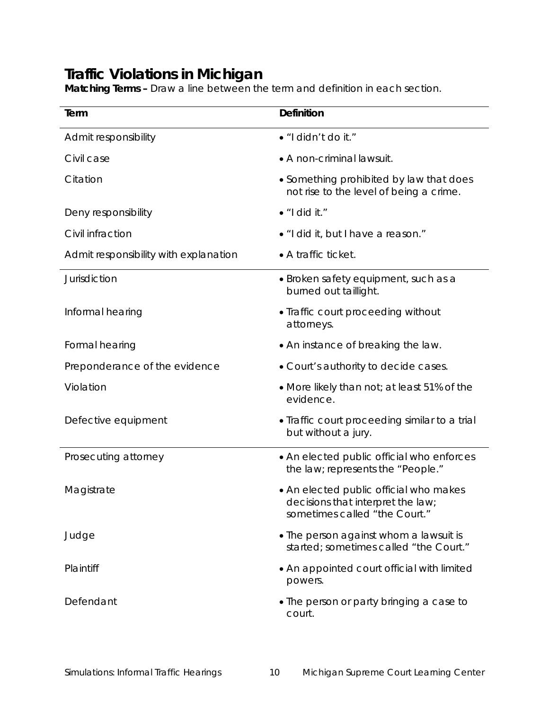**Matching Terms –** Draw a line between the term and definition in each section.

| Term                                  | <b>Definition</b>                                                                                            |  |
|---------------------------------------|--------------------------------------------------------------------------------------------------------------|--|
| Admit responsibility                  | · "I didn't do it."                                                                                          |  |
| Civil case                            | • A non-criminal lawsuit.                                                                                    |  |
| Citation                              | • Something prohibited by law that does<br>not rise to the level of being a crime.                           |  |
| Deny responsibility                   | $\bullet$ "I did it."                                                                                        |  |
| Civil infraction                      | • "I did it, but I have a reason."                                                                           |  |
| Admit responsibility with explanation | • A traffic ticket.                                                                                          |  |
| Jurisdiction                          | • Broken safety equipment, such as a<br>burned out taillight.                                                |  |
| Informal hearing                      | • Traffic court proceeding without<br>attorneys.                                                             |  |
| Formal hearing                        | • An instance of breaking the law.                                                                           |  |
| Preponderance of the evidence         | • Court's authority to decide cases.                                                                         |  |
| Violation                             | • More likely than not; at least 51% of the<br>evidence.                                                     |  |
| Defective equipment                   | • Traffic court proceeding similar to a trial<br>but without a jury.                                         |  |
| Prosecuting attorney                  | • An elected public official who enforces<br>the law; represents the "People."                               |  |
| Magistrate                            | • An elected public official who makes<br>decisions that interpret the law;<br>sometimes called "the Court." |  |
| Judge                                 | • The person against whom a lawsuit is<br>started; sometimes called "the Court."                             |  |
| Plaintiff                             | • An appointed court official with limited<br>powers.                                                        |  |
| Defendant                             | • The person or party bringing a case to<br>court.                                                           |  |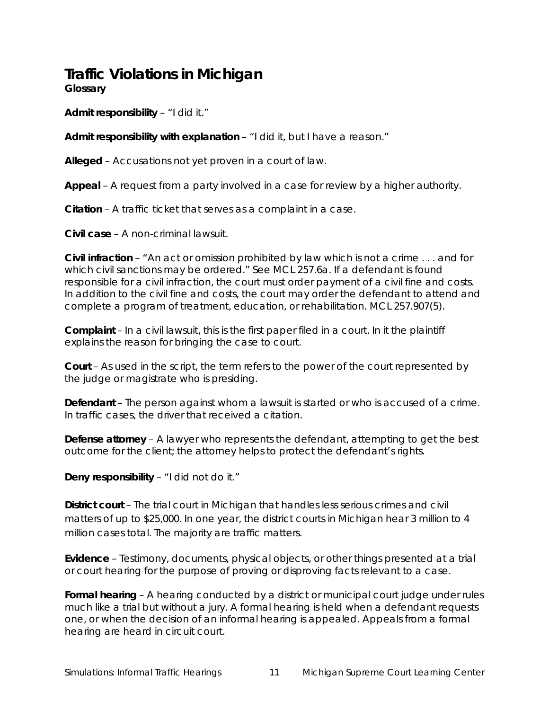**Glossary** 

**Admit responsibility** – "I did it."

**Admit responsibility with explanation** – "I did it, but I have a reason."

**Alleged** – Accusations not yet proven in a court of law.

**Appeal** – A request from a party involved in a case for review by a higher authority.

**Citation** – A traffic ticket that serves as a complaint in a case.

**Civil case** – A non-criminal lawsuit.

**Civil infraction** – "An act or omission prohibited by law which is not a crime . . . and for which civil sanctions may be ordered." See MCL 257.6a. If a defendant is found responsible for a civil infraction, the court must order payment of a civil fine and costs. In addition to the civil fine and costs, the court may order the defendant to attend and complete a program of treatment, education, or rehabilitation. MCL 257.907(5).

**Complaint** – In a civil lawsuit, this is the first paper filed in a court. In it the plaintiff explains the reason for bringing the case to court.

**Court** – As used in the script, the term refers to the power of the court represented by the judge or magistrate who is presiding.

**Defendant** – The person against whom a lawsuit is started or who is accused of a crime. In traffic cases, the driver that received a citation.

**Defense attorney** – A lawyer who represents the defendant, attempting to get the best outcome for the client; the attorney helps to protect the defendant's rights.

**Deny responsibility** – "I did not do it."

**District court** – The trial court in Michigan that handles less serious crimes and civil matters of up to \$25,000. In one year, the district courts in Michigan hear 3 million to 4 million cases total. The majority are traffic matters.

**Evidence** – Testimony, documents, physical objects, or other things presented at a trial or court hearing for the purpose of proving or disproving facts relevant to a case.

**Formal hearing** – A hearing conducted by a district or municipal court judge under rules much like a trial but without a jury. A formal hearing is held when a defendant requests one, or when the decision of an informal hearing is appealed. Appeals from a formal hearing are heard in circuit court.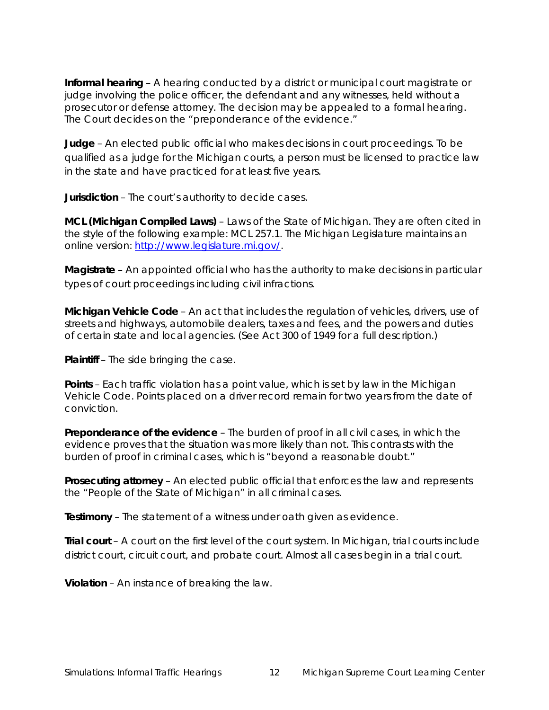**Informal hearing** – A hearing conducted by a district or municipal court magistrate or judge involving the police officer, the defendant and any witnesses, held without a prosecutor or defense attorney. The decision may be appealed to a formal hearing. The Court decides on the "preponderance of the evidence."

**Judge** – An elected public official who makes decisions in court proceedings. To be qualified as a judge for the Michigan courts, a person must be licensed to practice law in the state and have practiced for at least five years.

**Jurisdiction** – The court's authority to decide cases.

**MCL (Michigan Compiled Laws)** – Laws of the State of Michigan. They are often cited in the style of the following example: MCL 257.1. The Michigan Legislature maintains an online version: http://www.legislature.mi.gov/.

**Magistrate** – An appointed official who has the authority to make decisions in particular types of court proceedings including civil infractions.

**Michigan Vehicle Code** – An act that includes the regulation of vehicles, drivers, use of streets and highways, automobile dealers, taxes and fees, and the powers and duties of certain state and local agencies. (See Act 300 of 1949 for a full description.)

**Plaintiff** – The side bringing the case.

**Points** – Each traffic violation has a point value, which is set by law in the Michigan Vehicle Code. Points placed on a driver record remain for two years from the date of conviction.

**Preponderance of the evidence** – The burden of proof in all civil cases, in which the evidence proves that the situation was more likely than not. This contrasts with the burden of proof in criminal cases, which is "beyond a reasonable doubt."

**Prosecuting attorney** – An elected public official that enforces the law and represents the "People of the State of Michigan" in all criminal cases.

**Testimony** – The statement of a witness under oath given as evidence.

**Trial court** – A court on the first level of the court system. In Michigan, trial courts include district court, circuit court, and probate court. Almost all cases begin in a trial court.

**Violation** – An instance of breaking the law.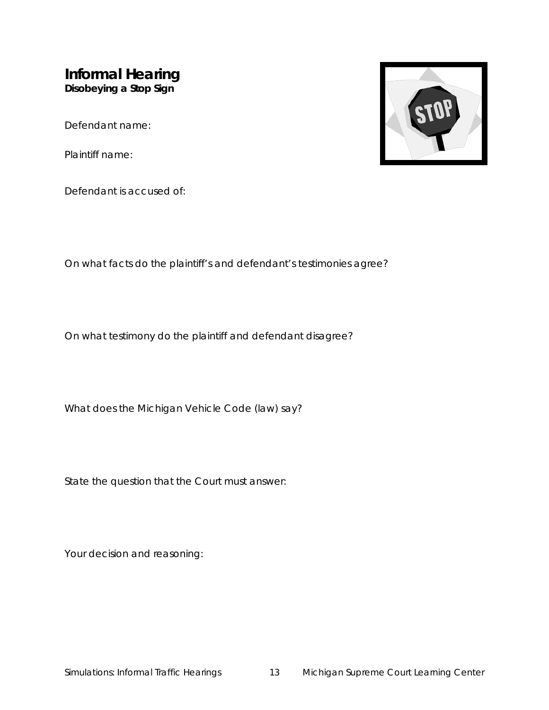### **Informal Hearing Disobeying a Stop Sign**

Defendant name:

Plaintiff name:



Defendant is accused of:

On what facts do the plaintiff's and defendant's testimonies agree?

On what testimony do the plaintiff and defendant disagree?

What does the Michigan Vehicle Code (law) say?

State the question that the Court must answer:

Your decision and reasoning: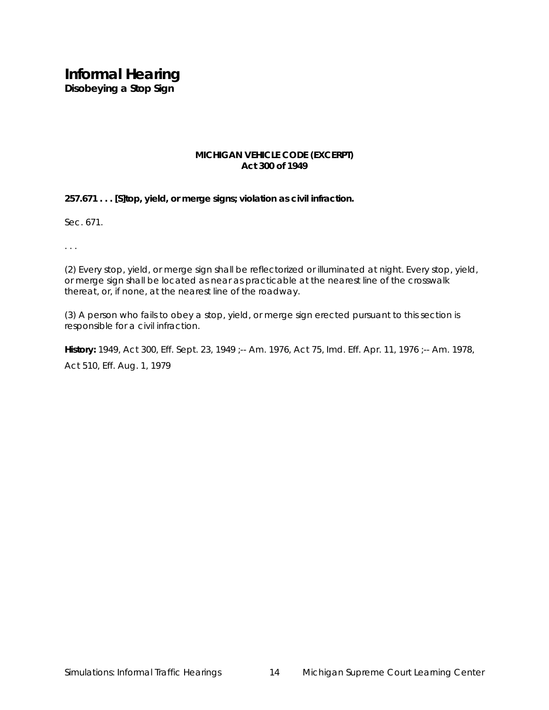# **Informal Hearing**

**Disobeying a Stop Sign**

#### **MICHIGAN VEHICLE CODE (EXCERPT) Act 300 of 1949**

**257.671 . . . [S]top, yield, or merge signs; violation as civil infraction.**

Sec. 671.

. . .

(2) Every stop, yield, or merge sign shall be reflectorized or illuminated at night. Every stop, yield, or merge sign shall be located as near as practicable at the nearest line of the crosswalk thereat, or, if none, at the nearest line of the roadway.

(3) A person who fails to obey a stop, yield, or merge sign erected pursuant to this section is responsible for a civil infraction.

**History:** 1949, Act 300, Eff. Sept. 23, 1949 ;-- Am. 1976, Act 75, Imd. Eff. Apr. 11, 1976 ;-- Am. 1978, Act 510, Eff. Aug. 1, 1979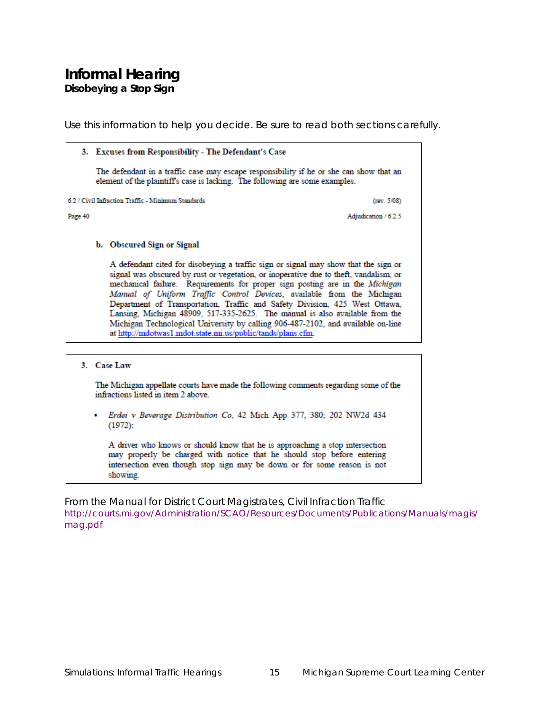### **Informal Hearing Disobeying a Stop Sign**

Use this information to help you decide. Be sure to read both sections carefully.

|         | 3. Excuses from Responsibility - The Defendant's Case |                                                                                                                                                                                                                                                                                                                                                                                                                                                                                                                                                                                                                                                          |  |  |
|---------|-------------------------------------------------------|----------------------------------------------------------------------------------------------------------------------------------------------------------------------------------------------------------------------------------------------------------------------------------------------------------------------------------------------------------------------------------------------------------------------------------------------------------------------------------------------------------------------------------------------------------------------------------------------------------------------------------------------------------|--|--|
|         |                                                       | The defendant in a traffic case may escape responsibility if he or she can show that an<br>element of the plaintiff's case is lacking. The following are some examples.                                                                                                                                                                                                                                                                                                                                                                                                                                                                                  |  |  |
|         |                                                       | 6.2 / Civil Infraction Traffic - Minimum Standards<br>(rev. 5/08)                                                                                                                                                                                                                                                                                                                                                                                                                                                                                                                                                                                        |  |  |
| Page 40 |                                                       | Adjudication / 6.2.5                                                                                                                                                                                                                                                                                                                                                                                                                                                                                                                                                                                                                                     |  |  |
|         |                                                       | b. Obscured Sign or Signal                                                                                                                                                                                                                                                                                                                                                                                                                                                                                                                                                                                                                               |  |  |
|         |                                                       | A defendant cited for disobeying a traffic sign or signal may show that the sign or<br>signal was obscured by rust or vegetation, or inoperative due to theft, vandalism, or<br>mechanical failure. Requirements for proper sign posting are in the Michigan<br>Manual of Uniform Traffic Control Devices, available from the Michigan<br>Department of Transportation, Traffic and Safety Division, 425 West Ottawa,<br>Lansing, Michigan 48909, 517-335-2625. The manual is also available from the<br>Michigan Technological University by calling 906-487-2102, and available on-line<br>at http://mdotwas1.mdot.state.mi.us/public/tands/plans.cfm. |  |  |
|         |                                                       |                                                                                                                                                                                                                                                                                                                                                                                                                                                                                                                                                                                                                                                          |  |  |
|         |                                                       | 3. Case Law                                                                                                                                                                                                                                                                                                                                                                                                                                                                                                                                                                                                                                              |  |  |
|         |                                                       | The Michigan appellate courts have made the following comments regarding some of the<br>infractions listed in item 2 above.                                                                                                                                                                                                                                                                                                                                                                                                                                                                                                                              |  |  |
|         |                                                       |                                                                                                                                                                                                                                                                                                                                                                                                                                                                                                                                                                                                                                                          |  |  |

Erdei v Beverage Distribution Co, 42 Mich App 377, 380; 202 NW2d 434  $(1972)$ :

A driver who knows or should know that he is approaching a stop intersection may properly be charged with notice that he should stop before entering intersection even though stop sign may be down or for some reason is not showing.

From the *Manual for District Court Magistrates*, Civil Infraction Traffic [http://courts.mi.gov/Administration/SCAO/Resources/Documents/Publications/Manuals/magis/](http://courts.mi.gov/Administration/SCAO/Resources/Documents/Publications/Manuals/magis/mag.pdf) [mag.pdf](http://courts.mi.gov/Administration/SCAO/Resources/Documents/Publications/Manuals/magis/mag.pdf)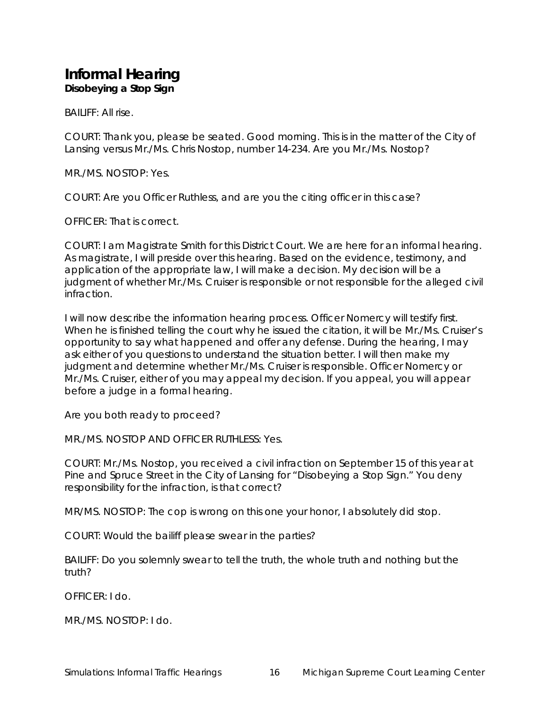### **Informal Hearing Disobeying a Stop Sign**

BAILIFF: All rise.

COURT: Thank you, please be seated. Good morning. This is in the matter of the City of Lansing versus Mr./Ms. Chris Nostop, number 14-234. Are you Mr./Ms. Nostop?

MR./MS. NOSTOP: Yes.

COURT: Are you Officer Ruthless, and are you the citing officer in this case?

OFFICER: That is correct.

COURT: I am Magistrate Smith for this District Court. We are here for an informal hearing. As magistrate, I will preside over this hearing. Based on the evidence, testimony, and application of the appropriate law, I will make a decision. My decision will be a judgment of whether Mr./Ms. Cruiser is responsible or not responsible for the alleged civil infraction.

I will now describe the information hearing process. Officer Nomercy will testify first. When he is finished telling the court why he issued the citation, it will be Mr./Ms. Cruiser's opportunity to say what happened and offer any defense. During the hearing, I may ask either of you questions to understand the situation better. I will then make my judgment and determine whether Mr./Ms. Cruiser is responsible. Officer Nomercy or Mr./Ms. Cruiser, either of you may appeal my decision. If you appeal, you will appear before a judge in a formal hearing.

Are you both ready to proceed?

MR./MS. NOSTOP AND OFFICER RUTHLESS: Yes.

COURT: Mr./Ms. Nostop, you received a civil infraction on September 15 of this year at Pine and Spruce Street in the City of Lansing for "Disobeying a Stop Sign." You deny responsibility for the infraction, is that correct?

MR/MS. NOSTOP: The cop is wrong on this one your honor, I absolutely did stop.

COURT: Would the bailiff please swear in the parties?

BAILIFF: Do you solemnly swear to tell the truth, the whole truth and nothing but the truth?

OFFICER: I do.

MR./MS. NOSTOP: I do.